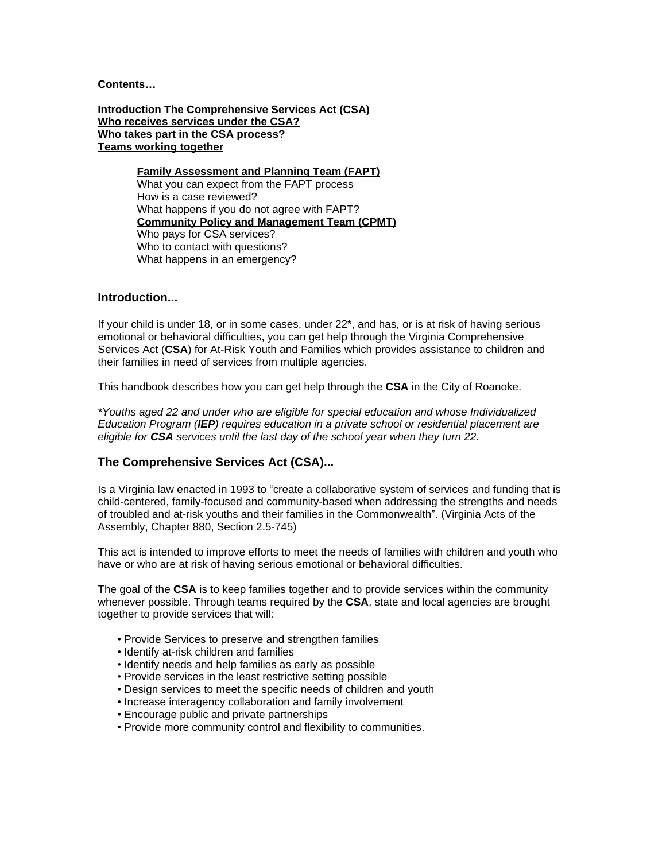**Contents…**

**Introduction The Comprehensive Services Act (CSA) Who receives services under the CSA? Who takes part in the CSA process? Teams working together**

> **Family Assessment and Planning Team (FAPT)** What you can expect from the FAPT process How is a case reviewed? What happens if you do not agree with FAPT? **Community Policy and Management Team (CPMT)** Who pays for CSA services? Who to contact with questions? What happens in an emergency?

## **Introduction...**

If your child is under 18, or in some cases, under 22\*, and has, or is at risk of having serious emotional or behavioral difficulties, you can get help through the Virginia Comprehensive Services Act (**CSA**) for At-Risk Youth and Families which provides assistance to children and their families in need of services from multiple agencies.

This handbook describes how you can get help through the **CSA** in the City of Roanoke.

*\*Youths aged 22 and under who are eligible for special education and whose Individualized Education Program (IEP) requires education in a private school or residential placement are eligible for CSA services until the last day of the school year when they turn 22.*

## **The Comprehensive Services Act (CSA)...**

Is a Virginia law enacted in 1993 to "create a collaborative system of services and funding that is child-centered, family-focused and community-based when addressing the strengths and needs of troubled and at-risk youths and their families in the Commonwealth". (Virginia Acts of the Assembly, Chapter 880, Section 2.5-745)

This act is intended to improve efforts to meet the needs of families with children and youth who have or who are at risk of having serious emotional or behavioral difficulties.

The goal of the **CSA** is to keep families together and to provide services within the community whenever possible. Through teams required by the **CSA**, state and local agencies are brought together to provide services that will:

- Provide Services to preserve and strengthen families
- Identify at-risk children and families
- Identify needs and help families as early as possible
- Provide services in the least restrictive setting possible
- Design services to meet the specific needs of children and youth
- Increase interagency collaboration and family involvement
- Encourage public and private partnerships
- Provide more community control and flexibility to communities.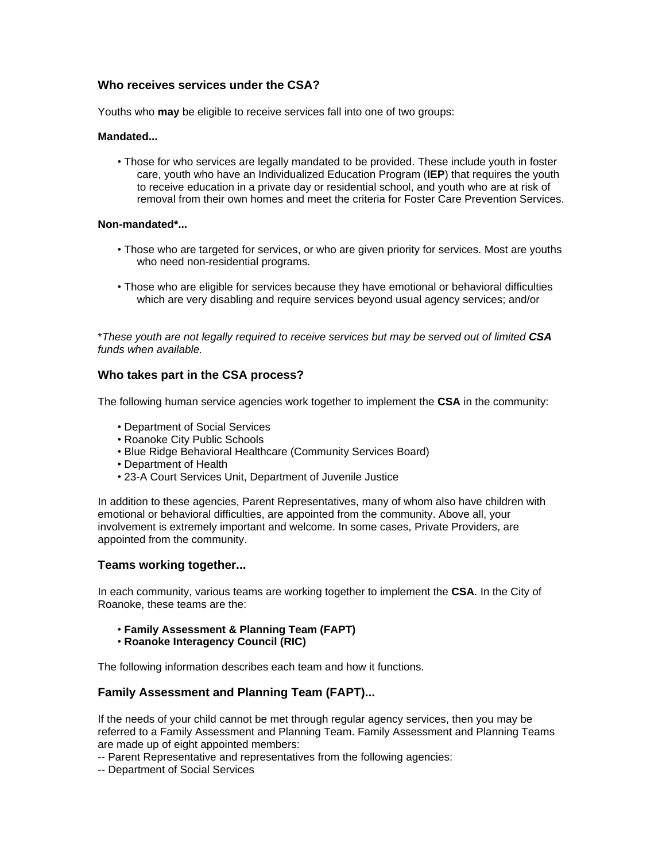# **Who receives services under the CSA?**

Youths who **may** be eligible to receive services fall into one of two groups:

### **Mandated...**

• Those for who services are legally mandated to be provided. These include youth in foster care, youth who have an Individualized Education Program (**IEP**) that requires the youth to receive education in a private day or residential school, and youth who are at risk of removal from their own homes and meet the criteria for Foster Care Prevention Services.

### **Non-mandated\*...**

- Those who are targeted for services, or who are given priority for services. Most are youths who need non-residential programs.
- Those who are eligible for services because they have emotional or behavioral difficulties which are very disabling and require services beyond usual agency services; and/or

\**These youth are not legally required to receive services but may be served out of limited CSA funds when available.*

# **Who takes part in the CSA process?**

The following human service agencies work together to implement the **CSA** in the community:

- Department of Social Services
- Roanoke City Public Schools
- Blue Ridge Behavioral Healthcare (Community Services Board)
- Department of Health
- 23-A Court Services Unit, Department of Juvenile Justice

In addition to these agencies, Parent Representatives, many of whom also have children with emotional or behavioral difficulties, are appointed from the community. Above all, your involvement is extremely important and welcome. In some cases, Private Providers, are appointed from the community.

## **Teams working together...**

In each community, various teams are working together to implement the **CSA**. In the City of Roanoke, these teams are the:

- **Family Assessment & Planning Team (FAPT)**
- **Roanoke Interagency Council (RIC)**

The following information describes each team and how it functions.

## **Family Assessment and Planning Team (FAPT)...**

If the needs of your child cannot be met through regular agency services, then you may be referred to a Family Assessment and Planning Team. Family Assessment and Planning Teams are made up of eight appointed members:

-- Parent Representative and representatives from the following agencies:

-- Department of Social Services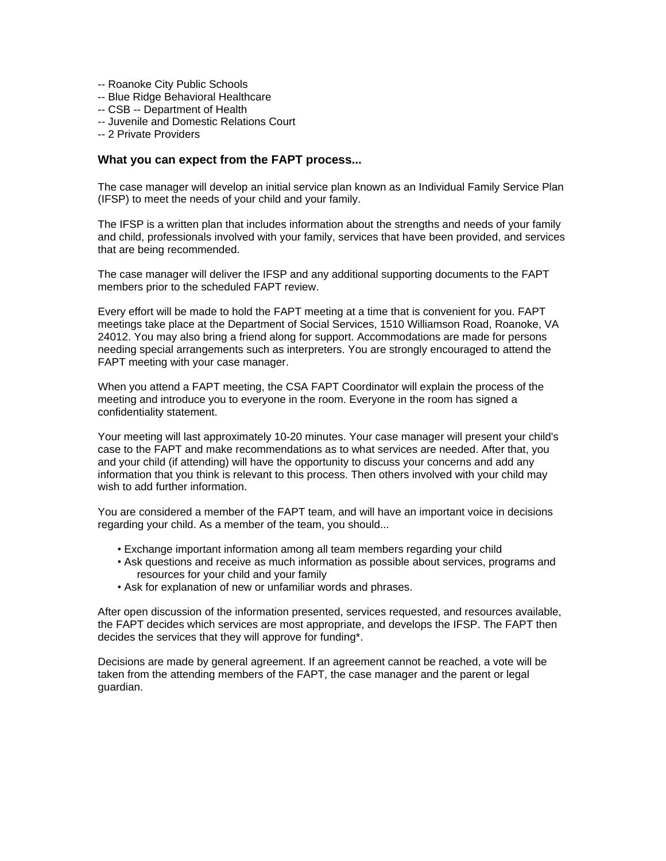- -- Roanoke City Public Schools
- -- Blue Ridge Behavioral Healthcare
- -- CSB -- Department of Health
- -- Juvenile and Domestic Relations Court
- -- 2 Private Providers

### **What you can expect from the FAPT process...**

The case manager will develop an initial service plan known as an Individual Family Service Plan (IFSP) to meet the needs of your child and your family.

The IFSP is a written plan that includes information about the strengths and needs of your family and child, professionals involved with your family, services that have been provided, and services that are being recommended.

The case manager will deliver the IFSP and any additional supporting documents to the FAPT members prior to the scheduled FAPT review.

Every effort will be made to hold the FAPT meeting at a time that is convenient for you. FAPT meetings take place at the Department of Social Services, 1510 Williamson Road, Roanoke, VA 24012. You may also bring a friend along for support. Accommodations are made for persons needing special arrangements such as interpreters. You are strongly encouraged to attend the FAPT meeting with your case manager.

When you attend a FAPT meeting, the CSA FAPT Coordinator will explain the process of the meeting and introduce you to everyone in the room. Everyone in the room has signed a confidentiality statement.

Your meeting will last approximately 10-20 minutes. Your case manager will present your child's case to the FAPT and make recommendations as to what services are needed. After that, you and your child (if attending) will have the opportunity to discuss your concerns and add any information that you think is relevant to this process. Then others involved with your child may wish to add further information.

You are considered a member of the FAPT team, and will have an important voice in decisions regarding your child. As a member of the team, you should...

- Exchange important information among all team members regarding your child
- Ask questions and receive as much information as possible about services, programs and resources for your child and your family
- Ask for explanation of new or unfamiliar words and phrases.

After open discussion of the information presented, services requested, and resources available, the FAPT decides which services are most appropriate, and develops the IFSP. The FAPT then decides the services that they will approve for funding\*.

Decisions are made by general agreement. If an agreement cannot be reached, a vote will be taken from the attending members of the FAPT, the case manager and the parent or legal guardian.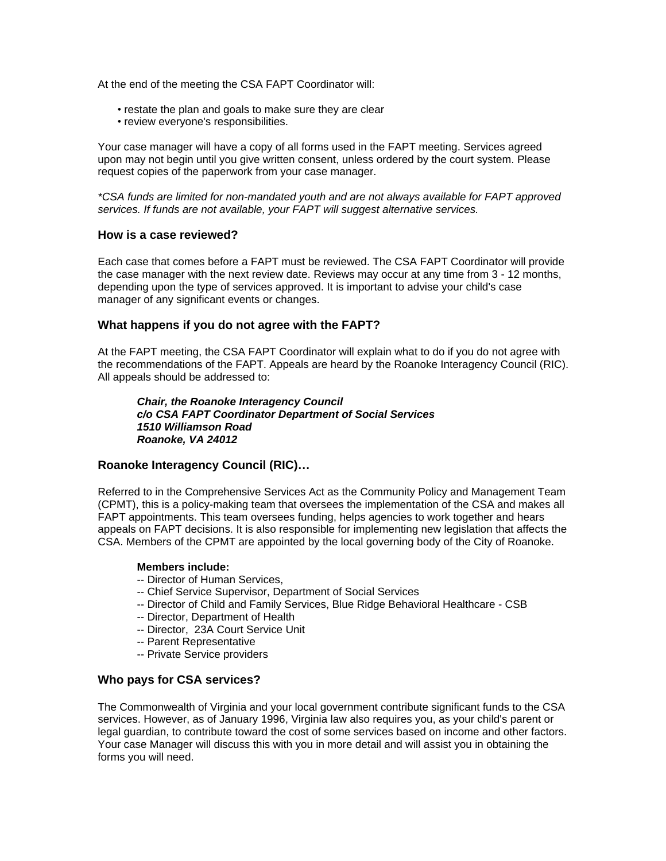At the end of the meeting the CSA FAPT Coordinator will:

- restate the plan and goals to make sure they are clear
- review everyone's responsibilities.

Your case manager will have a copy of all forms used in the FAPT meeting. Services agreed upon may not begin until you give written consent, unless ordered by the court system. Please request copies of the paperwork from your case manager.

*\*CSA funds are limited for non-mandated youth and are not always available for FAPT approved services. If funds are not available, your FAPT will suggest alternative services.*

#### **How is a case reviewed?**

Each case that comes before a FAPT must be reviewed. The CSA FAPT Coordinator will provide the case manager with the next review date. Reviews may occur at any time from 3 - 12 months, depending upon the type of services approved. It is important to advise your child's case manager of any significant events or changes.

### **What happens if you do not agree with the FAPT?**

At the FAPT meeting, the CSA FAPT Coordinator will explain what to do if you do not agree with the recommendations of the FAPT. Appeals are heard by the Roanoke Interagency Council (RIC). All appeals should be addressed to:

*Chair, the Roanoke Interagency Council c/o CSA FAPT Coordinator Department of Social Services 1510 Williamson Road Roanoke, VA 24012*

#### **Roanoke Interagency Council (RIC)…**

Referred to in the Comprehensive Services Act as the Community Policy and Management Team (CPMT), this is a policy-making team that oversees the implementation of the CSA and makes all FAPT appointments. This team oversees funding, helps agencies to work together and hears appeals on FAPT decisions. It is also responsible for implementing new legislation that affects the CSA. Members of the CPMT are appointed by the local governing body of the City of Roanoke.

#### **Members include:**

- -- Director of Human Services,
- -- Chief Service Supervisor, Department of Social Services
- -- Director of Child and Family Services, Blue Ridge Behavioral Healthcare CSB
- -- Director, Department of Health
- -- Director, 23A Court Service Unit
- -- Parent Representative
- -- Private Service providers

#### **Who pays for CSA services?**

The Commonwealth of Virginia and your local government contribute significant funds to the CSA services. However, as of January 1996, Virginia law also requires you, as your child's parent or legal guardian, to contribute toward the cost of some services based on income and other factors. Your case Manager will discuss this with you in more detail and will assist you in obtaining the forms you will need.